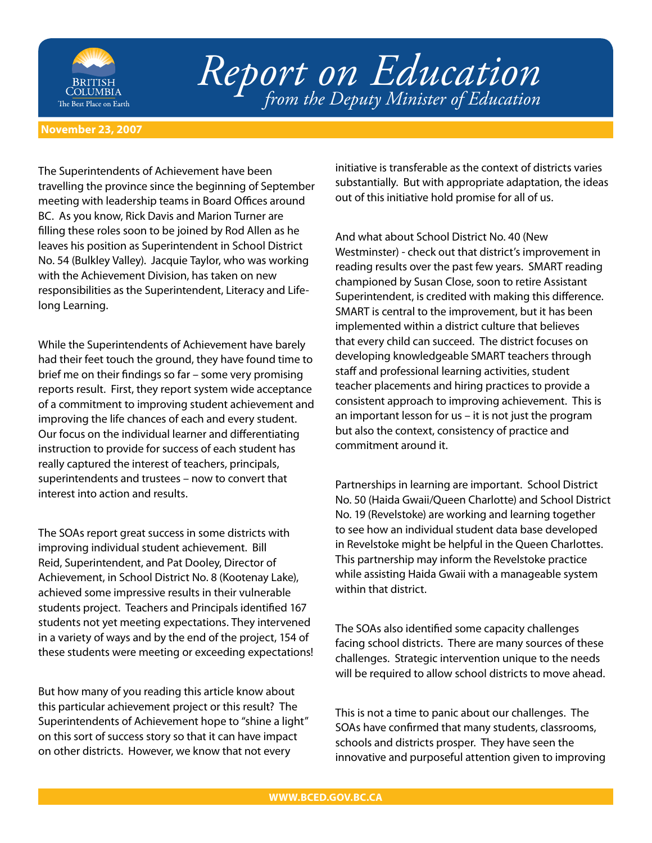

# *Report on Education from the Deputy Minister of Education*

#### **November 23, 2007**

The Superintendents of Achievement have been travelling the province since the beginning of September meeting with leadership teams in Board Offices around BC. As you know, Rick Davis and Marion Turner are filling these roles soon to be joined by Rod Allen as he leaves his position as Superintendent in School District No. 54 (Bulkley Valley). Jacquie Taylor, who was working with the Achievement Division, has taken on new responsibilities as the Superintendent, Literacy and Lifelong Learning.

While the Superintendents of Achievement have barely had their feet touch the ground, they have found time to brief me on their findings so far – some very promising reports result. First, they report system wide acceptance of a commitment to improving student achievement and improving the life chances of each and every student. Our focus on the individual learner and differentiating instruction to provide for success of each student has really captured the interest of teachers, principals, superintendents and trustees – now to convert that interest into action and results.

The SOAs report great success in some districts with improving individual student achievement. Bill Reid, Superintendent, and Pat Dooley, Director of Achievement, in School District No. 8 (Kootenay Lake), achieved some impressive results in their vulnerable students project. Teachers and Principals identified 167 students not yet meeting expectations. They intervened in a variety of ways and by the end of the project, 154 of these students were meeting or exceeding expectations!

But how many of you reading this article know about this particular achievement project or this result? The Superintendents of Achievement hope to "shine a light" on this sort of success story so that it can have impact on other districts. However, we know that not every

initiative is transferable as the context of districts varies substantially. But with appropriate adaptation, the ideas out of this initiative hold promise for all of us.

And what about School District No. 40 (New Westminster) - check out that district's improvement in reading results over the past few years. SMART reading championed by Susan Close, soon to retire Assistant Superintendent, is credited with making this difference. SMART is central to the improvement, but it has been implemented within a district culture that believes that every child can succeed. The district focuses on developing knowledgeable SMART teachers through staff and professional learning activities, student teacher placements and hiring practices to provide a consistent approach to improving achievement. This is an important lesson for us – it is not just the program but also the context, consistency of practice and commitment around it.

Partnerships in learning are important. School District No. 50 (Haida Gwaii/Queen Charlotte) and School District No. 19 (Revelstoke) are working and learning together to see how an individual student data base developed in Revelstoke might be helpful in the Queen Charlottes. This partnership may inform the Revelstoke practice while assisting Haida Gwaii with a manageable system within that district.

The SOAs also identified some capacity challenges facing school districts. There are many sources of these challenges. Strategic intervention unique to the needs will be required to allow school districts to move ahead.

This is not a time to panic about our challenges. The SOAs have confirmed that many students, classrooms, schools and districts prosper. They have seen the innovative and purposeful attention given to improving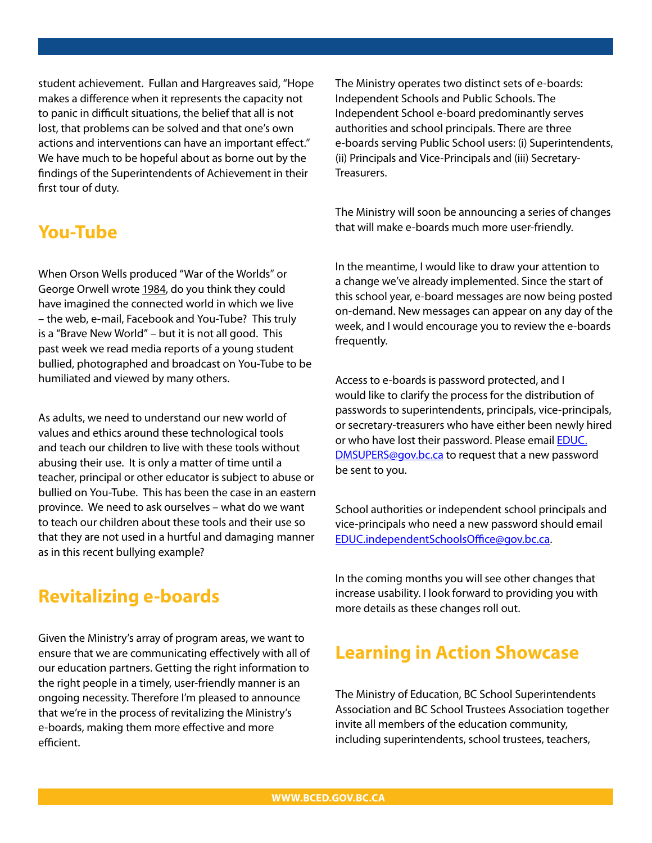student achievement. Fullan and Hargreaves said, "Hope makes a difference when it represents the capacity not to panic in difficult situations, the belief that all is not lost, that problems can be solved and that one's own actions and interventions can have an important effect." We have much to be hopeful about as borne out by the findings of the Superintendents of Achievement in their first tour of duty.

### **You-Tube**

When Orson Wells produced "War of the Worlds" or George Orwell wrote 1984, do you think they could have imagined the connected world in which we live – the web, e-mail, Facebook and You-Tube? This truly is a "Brave New World" – but it is not all good. This past week we read media reports of a young student bullied, photographed and broadcast on You-Tube to be humiliated and viewed by many others.

As adults, we need to understand our new world of values and ethics around these technological tools and teach our children to live with these tools without abusing their use. It is only a matter of time until a teacher, principal or other educator is subject to abuse or bullied on You-Tube. This has been the case in an eastern province. We need to ask ourselves – what do we want to teach our children about these tools and their use so that they are not used in a hurtful and damaging manner as in this recent bullying example?

# **Revitalizing e-boards**

Given the Ministry's array of program areas, we want to ensure that we are communicating effectively with all of our education partners. Getting the right information to the right people in a timely, user-friendly manner is an ongoing necessity. Therefore I'm pleased to announce that we're in the process of revitalizing the Ministry's e-boards, making them more effective and more efficient.

The Ministry operates two distinct sets of e-boards: Independent Schools and Public Schools. The Independent School e-board predominantly serves authorities and school principals. There are three e-boards serving Public School users: (i) Superintendents, (ii) Principals and Vice-Principals and (iii) Secretary-Treasurers.

The Ministry will soon be announcing a series of changes that will make e-boards much more user-friendly.

In the meantime, I would like to draw your attention to a change we've already implemented. Since the start of this school year, e-board messages are now being posted on-demand. New messages can appear on any day of the week, and I would encourage you to review the e-boards frequently.

Access to e-boards is password protected, and I would like to clarify the process for the distribution of passwords to superintendents, principals, vice-principals, or secretary-treasurers who have either been newly hired or who have lost their password. Please email EDUC. [DMSUPERS@gov.bc.ca to request that a new passwo](mailto:EDUC.DMSUPERS@gov.bc.ca)rd be sent to you.

School authorities or independent school principals and vice-principals who need a new password should email EDUC.independentSchoolsOffice@gov.bc.ca.

In the coming months you will see other changes that increase usability. I look forward to providing you with more details as these changes roll out.

## **Learning in Action Showcase**

The Ministry of Education, BC School Superintendents Association and BC School Trustees Association together invite all members of the education community, including superintendents, school trustees, teachers,